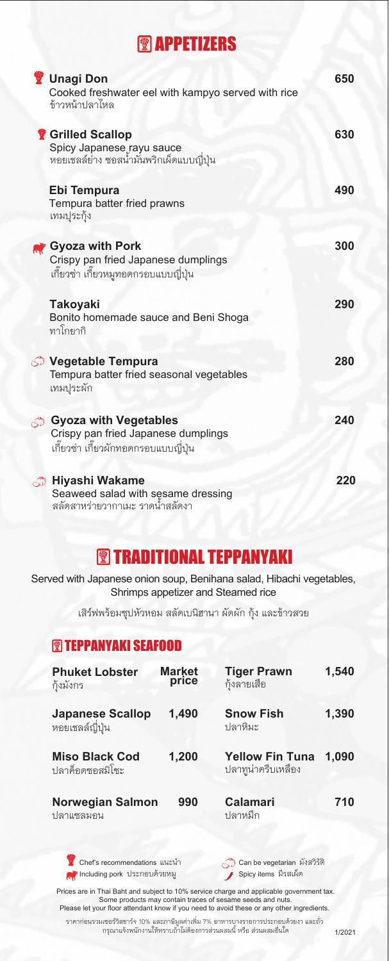### **图 APPETIZERS**

| <b>Unagi Don</b><br>Cooked freshwater eel with kampyo served with rice<br>ข้าวหน้าปลาไหล                    | 650 |
|-------------------------------------------------------------------------------------------------------------|-----|
| <b>赞 Grilled Scallop</b><br>Spicy Japanese rayu sauce<br>หอยเชลล์ย่าง ซอสน้ำมันพริกเผ็ดแบบญี่ปุ่น           | 630 |
| Ebi Tempura<br>Tempura batter fried prawns<br>เทมปุระกุ้ง                                                   | 490 |
| Gyoza with Pork<br>Crispy pan fried Japanese dumplings<br>เกี๊ยวซ่า เกี๊ยวหมูทอดกรอบแบบญี่ปุ่น              | 300 |
| <b>Takoyaki</b><br>Bonito homemade sauce and Beni Shoga<br>ทาโกยากิ                                         | 290 |
| <b>Vegetable Tempura</b><br>Tempura batter fried seasonal vegetables<br>เทมปุระผัก                          | 280 |
| <b>Gyoza with Vegetables</b><br>Crispy pan fried Japanese dumplings<br>เกี้ยวซ่า เกี้ยวผักทอดกรอบแบบญี่ปุ่น | 240 |
| Hiyashi Wakame<br>Seaweed salad with sesame dressing<br>สลัดสาหร่ายวากาเมะ ราดน้ำสลัดงา                     | 220 |

## **<sup><sup>7</sup>**</sup> TRADITIONAL TEPPANYAKI</sub>

 Served with Japanese onion soup, Benihana salad, Hibachi vegetables, Shrimps appetizer and Steamed rice

เสิรฟพรอมซุปหัวหอม สลัดเบนิฮานา ผัดผัก กุง และขาวสวย

### **<b>TEPPANYAKI SEAFOOD**

| <b>Phuket Lobster</b><br>ก้งมังกร          | <b>Market</b><br>price | <b>Tiger Prawn</b><br>ก้งลายเสือ             | 1,540 |
|--------------------------------------------|------------------------|----------------------------------------------|-------|
| <b>Japanese Scallop</b><br>หอยเชลล์ญี่ปุ่น | 1,490                  | <b>Snow Fish</b><br><u> ปลาหิมะ</u>          | 1,390 |
| <b>Miso Black Cod</b><br>ปลาค็อดซอสมิโซะ   | 1,200                  | <b>Yellow Fin Tuna</b><br>ปลาทูน่าครีบเหลือง | 1,090 |
| <b>Norwegian Salmon</b><br>ปลาแซลมอน       | 990                    | <b>Calamari</b><br>ปลาหมึก                   | 710   |

Chef's recommendations แนะนำ Including pork ประกอบด้วยหมู

Can be vegetarian มังสวิรัติ Spicy items มีรสเผ็ด

Prices are in Thai Baht and subject to 10% service charge and applicable government tax. Some products may contain traces of sesame seeds and nuts. Please let your floor attendant know if you need to avoid these or any other ingredients.

ราคากอนรวมเซอรวิสชารจ 10% และภาษีมูลคาเพิ่ม 7% อาหารบางรายการประกอบดวยงา และถั่ว กรุณาแจ้งพนักงานให้ทราบถ้าไม่ต้องการส่วนผสมนี้ หรือ ส่วนผสมอื่นได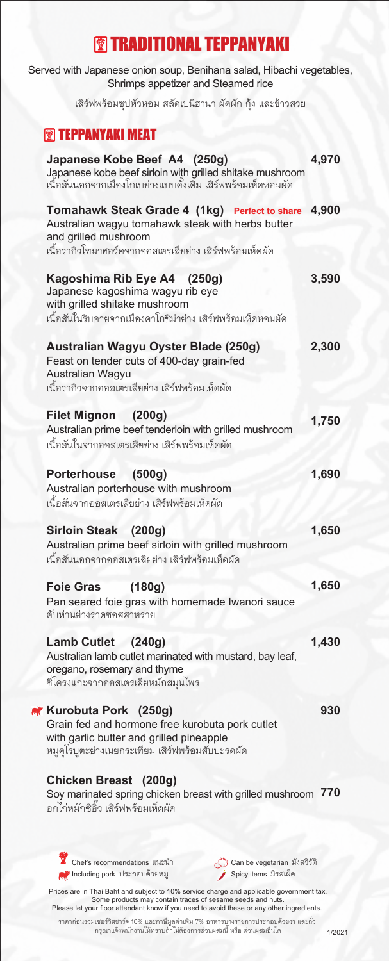## **<sup><sup>7</sup>**</sup> TRADITIONAL TEPPANYAKI</sub>

| Served with Japanese onion soup, Benihana salad, Hibachi vegetables,<br>Shrimps appetizer and Steamed rice                                                              |       |
|-------------------------------------------------------------------------------------------------------------------------------------------------------------------------|-------|
| เสิร์ฟพร้อมซุปหัวหอม สลัดเบนิฮานา ผัดผัก กุ้ง และข้าวสวย                                                                                                                |       |
| <b><sup><sup><sup>1</sup></sup></sup></b> TEPPANYAKI MEAT                                                                                                               |       |
| Japanese Kobe Beef A4 (250g)<br>Japanese kobe beef sirloin with grilled shitake mushroom<br>เนื้อสันนอกจากเมืองโกเบย่างแบบดั้งเดิ้ม เสิร์ฟพร้อมเห็ดหอมผัด               | 4,970 |
| Tomahawk Steak Grade 4 (1kg) Perfect to share<br>Australian wagyu tomahawk steak with herbs butter<br>and grilled mushroom                                              | 4,900 |
| เนื้อวากิวโทมาฮอว์คจากออสเตรเลียย่าง เสิร์ฟพร้อมเห็ดผัด                                                                                                                 |       |
| Kagoshima Rib Eye A4 (250g)<br>Japanese kagoshima wagyu rib eye<br>with grilled shitake mushroom<br>เนื้อสันในริบอายจากเมืองคาโกชิม่าย่าง เสิร์ฟพร้อมเห็ดหอมผัด         | 3,590 |
| Australian Wagyu Oyster Blade (250g)<br>Feast on tender cuts of 400-day grain-fed<br>Australian Wagyu<br>เนื้อวากิวจากออสเตรเลียย่าง เสิร์ฟพร้อมเห็ดผัด                 | 2,300 |
| Filet Mignon (200g)                                                                                                                                                     |       |
| Australian prime beef tenderloin with grilled mushroom<br>เนื้อสันในจากออสเตรเลียย่าง เสิร์ฟพร้อมเห็ดผัด                                                                | 1,750 |
| Porterhouse (500g)                                                                                                                                                      | 1,690 |
| Australian porterhouse with mushroom<br>เนื้อสันจากออสเตรเลียย่าง เสิร์ฟพร้อมเห็ดผัด                                                                                    |       |
| Sirloin Steak (200g)<br>Australian prime beef sirloin with grilled mushroom<br>เนื้อสันนอกจากออสเตรเลียย่าง เสิร์ฟพร้อมเห็ดผัด                                          | 1,650 |
| (180g)<br><b>Foie Gras</b>                                                                                                                                              | 1,650 |
| Pan seared foie gras with homemade Iwanori sauce<br>ตับห่านย่างราดซอสสาหร่าย                                                                                            |       |
| Lamb Cutlet (240g)<br>Australian lamb cutlet marinated with mustard, bay leaf,<br>oregano, rosemary and thyme<br>ซี่โครงแกะจากออสเตรเลียหมักสมุนไพร                     | 1,430 |
| Kurobuta Pork (250g)<br>Grain fed and hormone free kurobuta pork cutlet<br>with garlic butter and grilled pineapple<br>หมูคุโรบูตะย่างเนยกระเทียม เสิร์ฟพร้อมสับปะรดผัด | 930   |
| Chicken Breast (200g)<br>Soy marinated spring chicken breast with grilled mushroom<br>คกไก่หมักซี่กิ้ว เสิร์ฟพร้คมเห็ดผัด                                               | 770   |
| Chef's recommendations แนะนำ                                                                                                                                            |       |
| Can be vegetarian มังสวิรัติ<br>Spicy items มีรสเผ็ด<br>ี Including pork ประกอบด้วยหมู                                                                                  |       |

Prices are in Thai Baht and subject to 10% service charge and applicable government tax. Some products may contain traces of sesame seeds and nuts. Please let your floor attendant know if you need to avoid these or any other ingredients.

ราคากอนรวมเซอรวิสชารจ 10% และภาษีมูลคาเพิ่ม 7% อาหารบางรายการประกอบดวยงา และถั่ว กรุณาแจ้งพนักงานให้ทราบถ้าไม่ต้องการส่วนผสมนี้ หรือ ส่วนผสมอื่นใด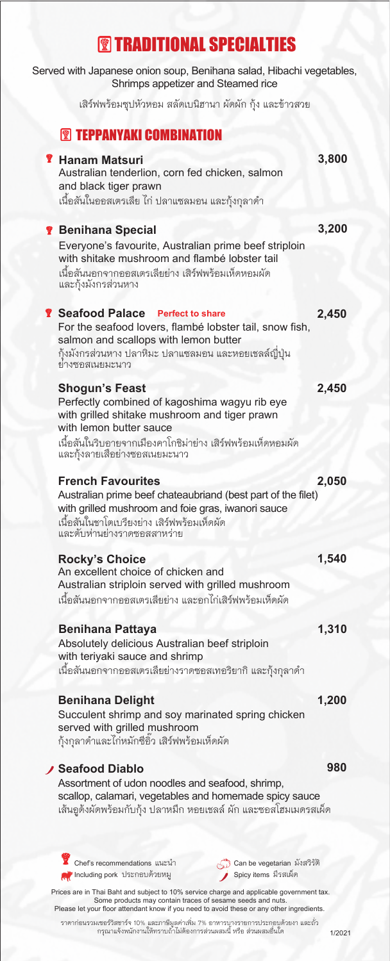# **<sup><sup>7</sup>**</sup> TRADITIONAL SPECIALTIES</sub>

| Served with Japanese onion soup, Benihana salad, Hibachi vegetables,<br>Shrimps appetizer and Steamed rice                                                                                                                   |       |
|------------------------------------------------------------------------------------------------------------------------------------------------------------------------------------------------------------------------------|-------|
| เสิร์ฟพร้อมซุปหัวหอม สลัดเบนิฮานา ผัดผัก กุ้ง และข้าวสวย                                                                                                                                                                     |       |
| <b><sup><sup>2</sup> TEPPANYAKI COMBINATION</sup></b>                                                                                                                                                                        |       |
| <b>Y</b> Hanam Matsuri<br>Australian tenderlion, corn fed chicken, salmon<br>and black tiger prawn<br>เนื้อสันในออสเตรเลีย ไก่ ปลาแซลมอน และกุ้งกุลาดำ                                                                       | 3,800 |
| <b>The Benihana Special</b>                                                                                                                                                                                                  | 3,200 |
| Everyone's favourite, Australian prime beef striploin<br>with shitake mushroom and flambé lobster tail<br>เนื้อสันนอกจากออสเตรเลียย่าง เสิร์ฟพร้อมเห็ดหอมผัด<br>และกุ้งมังกรส่วนหาง                                          |       |
| <b>&amp; Seafood Palace</b> Perfect to share<br>For the seafood lovers, flambé lobster tail, snow fish,<br>salmon and scallops with lemon butter<br>กุ้งมังกรส่วนหาง ปลาหิมะ ปลาแซลมอน และหอยเชลล์ญี่ปุ่น<br>ย่างซอสเนยมะนาว | 2,450 |
| <b>Shogun's Feast</b><br>Perfectly combined of kagoshima wagyu rib eye                                                                                                                                                       | 2,450 |
| with grilled shitake mushroom and tiger prawn<br>with lemon butter sauce<br>เนื้อสันในริบอายจากเมืองคาโกชิม่าย่าง เสิร์ฟพร้อมเห็ดหอมผัด<br>และกุ้งลายเสื้อย่างซอสเนยมะนาว                                                    |       |
| <b>French Favourites</b>                                                                                                                                                                                                     | 2,050 |
| Australian prime beef chateaubriand (best part of the filet)<br>with grilled mushroom and foie gras, iwanori sauce<br>เนื้อสันในชาโตเบรียงย่าง เสิร์ฟพร้อมเห็ดผัด<br>และตับห่านย่างราดซอสสาหร่าย                             |       |
| <b>Rocky's Choice</b><br>An excellent choice of chicken and                                                                                                                                                                  | 1,540 |
| Australian striploin served with grilled mushroom<br>เนื้อสันนอกจากออสเตรเลียย่าง และอกไก่เสิร์ฟพร้อมเห็ดผัด                                                                                                                 |       |
|                                                                                                                                                                                                                              | 1,310 |
| <b>Benihana Pattaya</b><br>Absolutely delicious Australian beef striploin<br>with teriyaki sauce and shrimp<br>เนื้อสันนอกจากออสเตรเลียย่างราดซอสเทอริยากิ และกุ้งกุลาดำ                                                     |       |
| <b>Benihana Delight</b>                                                                                                                                                                                                      | 1,200 |
| Succulent shrimp and soy marinated spring chicken<br>served with grilled mushroom<br>กุ้งกุลาดำและไก่หมักซีอิ๊ว เสิร์ฟพร้อมเห็ดผัด                                                                                           |       |
| <b>Seafood Diablo</b>                                                                                                                                                                                                        | 980   |
| Assortment of udon noodles and seafood, shrimp,<br>scallop, calamari, vegetables and homemade spicy sauce<br>เส้นอูด้งผัดพร้อมกับกุ้ง ปลาหมึก หอยเชลล์ ผัก และซอสโฮมเมดรสเผ็ด                                                |       |
|                                                                                                                                                                                                                              |       |
| Chef's recommendations แนะนำ<br>Can be vegetarian มังสวิรัติ                                                                                                                                                                 |       |

Prices are in Thai Baht and subject to 10% service charge and applicable government tax. Some products may contain traces of sesame seeds and nuts. Please let your floor attendant know if you need to avoid these or any other ingredients.

ราคากอนรวมเซอรวิสชารจ 10% และภาษีมูลคาเพิ่ม 7% อาหารบางรายการประกอบดวยงา และถั่ว กรุณาแจ้งพนักงานให้ทราบถ้าไม่ต้องการส่วนผสมนี้ หรือ ส่วนผสมอื่นได